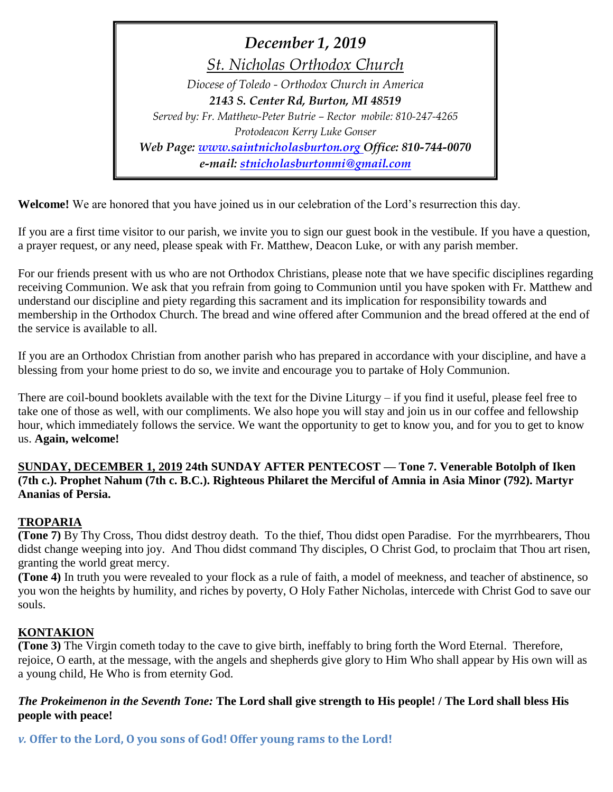*December 1, 2019 St. Nicholas Orthodox Church Diocese of Toledo - Orthodox Church in America 2143 S. Center Rd, Burton, MI 48519 Served by: Fr. Matthew-Peter Butrie – Rector mobile: 810-247-4265 Protodeacon Kerry Luke Gonser Web Page: [www.saintnicholasburton.org](http://www.saintnicholasburton.org/) Office: 810-744-0070 e-mail: [stnicholasburtonmi@gmail.com](mailto:stnicholasburtonmi@gmail.com)*

**Welcome!** We are honored that you have joined us in our celebration of the Lord's resurrection this day.

If you are a first time visitor to our parish, we invite you to sign our guest book in the vestibule. If you have a question, a prayer request, or any need, please speak with Fr. Matthew, Deacon Luke, or with any parish member.

For our friends present with us who are not Orthodox Christians, please note that we have specific disciplines regarding receiving Communion. We ask that you refrain from going to Communion until you have spoken with Fr. Matthew and understand our discipline and piety regarding this sacrament and its implication for responsibility towards and membership in the Orthodox Church. The bread and wine offered after Communion and the bread offered at the end of the service is available to all.

If you are an Orthodox Christian from another parish who has prepared in accordance with your discipline, and have a blessing from your home priest to do so, we invite and encourage you to partake of Holy Communion.

There are coil-bound booklets available with the text for the Divine Liturgy – if you find it useful, please feel free to take one of those as well, with our compliments. We also hope you will stay and join us in our coffee and fellowship hour, which immediately follows the service. We want the opportunity to get to know you, and for you to get to know us. **Again, welcome!**

## **SUNDAY, DECEMBER 1, 2019 24th SUNDAY AFTER PENTECOST — Tone 7. Venerable Botolph of Iken (7th c.). Prophet Nahum (7th c. B.C.). Righteous Philaret the Merciful of Amnia in Asia Minor (792). Martyr Ananias of Persia.**

## **TROPARIA**

**(Tone 7)** By Thy Cross, Thou didst destroy death. To the thief, Thou didst open Paradise. For the myrrhbearers, Thou didst change weeping into joy. And Thou didst command Thy disciples, O Christ God, to proclaim that Thou art risen, granting the world great mercy.

**(Tone 4)** In truth you were revealed to your flock as a rule of faith, a model of meekness, and teacher of abstinence, so you won the heights by humility, and riches by poverty, O Holy Father Nicholas, intercede with Christ God to save our souls.

## **KONTAKION**

**(Tone 3)** The Virgin cometh today to the cave to give birth, ineffably to bring forth the Word Eternal. Therefore, rejoice, O earth, at the message, with the angels and shepherds give glory to Him Who shall appear by His own will as a young child, He Who is from eternity God.

## *The Prokeimenon in the Seventh Tone:* **The Lord shall give strength to His people! / The Lord shall bless His people with peace!**

*v.* **Offer to the Lord, O you sons of God! Offer young rams to the Lord!**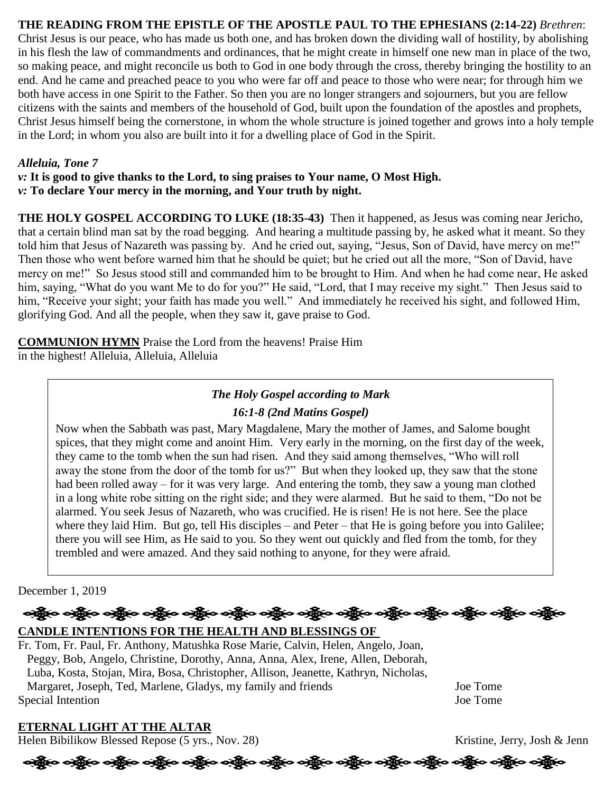## **THE READING FROM THE EPISTLE OF THE APOSTLE PAUL TO THE EPHESIANS (2:14-22)** *Brethren*:

Christ Jesus is our peace, who has made us both one, and has broken down the dividing wall of hostility, by abolishing in his flesh the law of commandments and ordinances, that he might create in himself one new man in place of the two, so making peace, and might reconcile us both to God in one body through the cross, thereby bringing the hostility to an end. And he came and preached peace to you who were far off and peace to those who were near; for through him we both have access in one Spirit to the Father. So then you are no longer strangers and sojourners, but you are fellow citizens with the saints and members of the household of God, built upon the foundation of the apostles and prophets, Christ Jesus himself being the cornerstone, in whom the whole structure is joined together and grows into a holy temple in the Lord; in whom you also are built into it for a dwelling place of God in the Spirit.

#### *Alleluia, Tone 7*

*v:* **It is good to give thanks to the Lord, to sing praises to Your name, O Most High.**  *v:* **To declare Your mercy in the morning, and Your truth by night.** 

**THE HOLY GOSPEL ACCORDING TO LUKE (18:35-43)** Then it happened, as Jesus was coming near Jericho, that a certain blind man sat by the road begging. And hearing a multitude passing by, he asked what it meant. So they told him that Jesus of Nazareth was passing by. And he cried out, saying, "Jesus, Son of David, have mercy on me!" Then those who went before warned him that he should be quiet; but he cried out all the more, "Son of David, have mercy on me!" So Jesus stood still and commanded him to be brought to Him. And when he had come near, He asked him, saying, "What do you want Me to do for you?" He said, "Lord, that I may receive my sight." Then Jesus said to him, "Receive your sight; your faith has made you well." And immediately he received his sight, and followed Him, glorifying God. And all the people, when they saw it, gave praise to God.

**COMMUNION HYMN** Praise the Lord from the heavens! Praise Him in the highest! Alleluia, Alleluia, Alleluia

## *The Holy Gospel according to Mark*

#### *16:1-8 (2nd Matins Gospel)*

Now when the Sabbath was past, Mary Magdalene, Mary the mother of James, and Salome bought spices, that they might come and anoint Him. Very early in the morning, on the first day of the week, they came to the tomb when the sun had risen. And they said among themselves, "Who will roll away the stone from the door of the tomb for us?" But when they looked up, they saw that the stone had been rolled away – for it was very large. And entering the tomb, they saw a young man clothed in a long white robe sitting on the right side; and they were alarmed. But he said to them, "Do not be alarmed. You seek Jesus of Nazareth, who was crucified. He is risen! He is not here. See the place where they laid Him. But go, tell His disciples – and Peter – that He is going before you into Galilee; there you will see Him, as He said to you. So they went out quickly and fled from the tomb, for they trembled and were amazed. And they said nothing to anyone, for they were afraid.

#### December 1, 2019

## န္ကြိုးေခါ့္ဆိုးေခါ့္အိုးေခါ့္အိုးေခါ့္အိုးေခါ့္အိုးေခါ့္အိုးေခါ့္အိုးေခါ့္အိုးေခါ့္အိုးေခါ့္အိုးေခါ့္အိုးေခါ့ **CANDLE INTENTIONS FOR THE HEALTH AND BLESSINGS OF**

Fr. Tom, Fr. Paul, Fr. Anthony, Matushka Rose Marie, Calvin, Helen, Angelo, Joan, Peggy, Bob, Angelo, Christine, Dorothy, Anna, Anna, Alex, Irene, Allen, Deborah, Luba, Kosta, Stojan, Mira, Bosa, Christopher, Allison, Jeanette, Kathryn, Nicholas, Margaret, Joseph, Ted, Marlene, Gladys, my family and friends Joe Tome Special Intention Joe Tome

## **ETERNAL LIGHT AT THE ALTAR**

Helen Bibilikow Blessed Repose (5 yrs., Nov. 28) Kristine, Jerry, Josh & Jenn

# န္ကြိုးေခါင္ဆိုေခါင္ဆိုေခါင္း ျပည္ေခါင္း ခင္ဆိုေခါင္း အိုင္း သို့သူေခါင္း ဆိုင္ရြာေခါင္ဆိုေခါင္း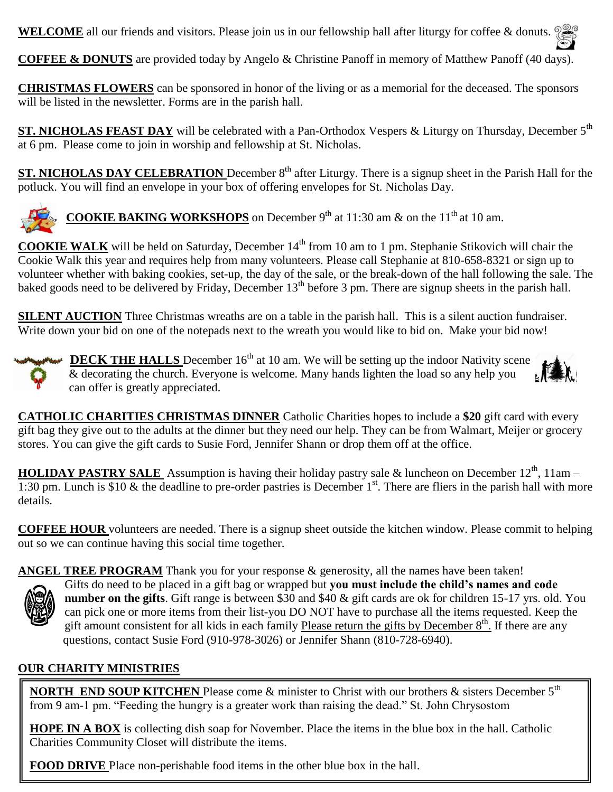**WELCOME** all our friends and visitors. Please join us in our fellowship hall after liturgy for coffee & donuts.

**COFFEE & DONUTS** are provided today by Angelo & Christine Panoff in memory of Matthew Panoff (40 days).

**CHRISTMAS FLOWERS** can be sponsored in honor of the living or as a memorial for the deceased. The sponsors will be listed in the newsletter. Forms are in the parish hall.

**ST. NICHOLAS FEAST DAY** will be celebrated with a Pan-Orthodox Vespers & Liturgy on Thursday, December 5<sup>th</sup> at 6 pm. Please come to join in worship and fellowship at St. Nicholas.

**ST. NICHOLAS DAY CELEBRATION** December 8<sup>th</sup> after Liturgy. There is a signup sheet in the Parish Hall for the potluck. You will find an envelope in your box of offering envelopes for St. Nicholas Day.



**COOKIE BAKING WORKSHOPS** on December 9<sup>th</sup> at 11:30 am  $\&$  on the 11<sup>th</sup> at 10 am.

**COOKIE WALK** will be held on Saturday, December 14<sup>th</sup> from 10 am to 1 pm. Stephanie Stikovich will chair the Cookie Walk this year and requires help from many volunteers. Please call Stephanie at 810-658-8321 or sign up to volunteer whether with baking cookies, set-up, the day of the sale, or the break-down of the hall following the sale. The baked goods need to be delivered by Friday, December  $13<sup>th</sup>$  before 3 pm. There are signup sheets in the parish hall.

**SILENT AUCTION** Three Christmas wreaths are on a table in the parish hall. This is a silent auction fundraiser. Write down your bid on one of the notepads next to the wreath you would like to bid on. Make your bid now!





HOLIDAY PASTRY SALE Assumption is having their holiday pastry sale & luncheon on December 12<sup>th</sup>, 11am – 1:30 pm. Lunch is \$10  $\&$  the deadline to pre-order pastries is December 1<sup>st</sup>. There are fliers in the parish hall with more details.

**COFFEE HOUR** volunteers are needed. There is a signup sheet outside the kitchen window. Please commit to helping out so we can continue having this social time together.

ANGEL TREE PROGRAM Thank you for your response & generosity, all the names have been taken!



Gifts do need to be placed in a gift bag or wrapped but **you must include the child's names and code number on the gifts**. Gift range is between \$30 and \$40 & gift cards are ok for children 15-17 yrs. old. You can pick one or more items from their list-you DO NOT have to purchase all the items requested. Keep the gift amount consistent for all kids in each family Please return the gifts by December  $8<sup>th</sup>$ . If there are any questions, contact Susie Ford (910-978-3026) or Jennifer Shann (810-728-6940).

## **OUR CHARITY MINISTRIES**

**NORTH END SOUP KITCHEN** Please come & minister to Christ with our brothers & sisters December 5th from 9 am-1 pm. "Feeding the hungry is a greater work than raising the dead." St. John Chrysostom

**HOPE IN A BOX** is collecting dish soap for November. Place the items in the blue box in the hall. Catholic Charities Community Closet will distribute the items.

**FOOD DRIVE** Place non-perishable food items in the other blue box in the hall.